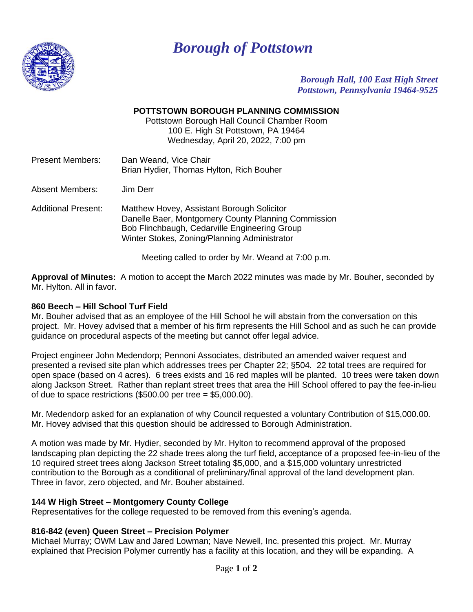

# *Borough of Pottstown*

*Borough Hall, 100 East High Street Pottstown, Pennsylvania 19464-9525*

### **POTTSTOWN BOROUGH PLANNING COMMISSION**

Pottstown Borough Hall Council Chamber Room 100 E. High St Pottstown, PA 19464 Wednesday, April 20, 2022, 7:00 pm

| Present Members: | Dan Weand, Vice Chair                    |
|------------------|------------------------------------------|
|                  | Brian Hydier, Thomas Hylton, Rich Bouher |

Absent Members: Jim Derr

Additional Present: Matthew Hovey, Assistant Borough Solicitor Danelle Baer, Montgomery County Planning Commission Bob Flinchbaugh, Cedarville Engineering Group Winter Stokes, Zoning/Planning Administrator

Meeting called to order by Mr. Weand at 7:00 p.m.

**Approval of Minutes:** A motion to accept the March 2022 minutes was made by Mr. Bouher, seconded by Mr. Hylton. All in favor.

#### **860 Beech – Hill School Turf Field**

Mr. Bouher advised that as an employee of the Hill School he will abstain from the conversation on this project. Mr. Hovey advised that a member of his firm represents the Hill School and as such he can provide guidance on procedural aspects of the meeting but cannot offer legal advice.

Project engineer John Medendorp; Pennoni Associates, distributed an amended waiver request and presented a revised site plan which addresses trees per Chapter 22; §504. 22 total trees are required for open space (based on 4 acres). 6 trees exists and 16 red maples will be planted. 10 trees were taken down along Jackson Street. Rather than replant street trees that area the Hill School offered to pay the fee-in-lieu of due to space restrictions  $(\$500.00$  per tree =  $\$5,000.00$ ).

Mr. Medendorp asked for an explanation of why Council requested a voluntary Contribution of \$15,000.00. Mr. Hovey advised that this question should be addressed to Borough Administration.

A motion was made by Mr. Hydier, seconded by Mr. Hylton to recommend approval of the proposed landscaping plan depicting the 22 shade trees along the turf field, acceptance of a proposed fee-in-lieu of the 10 required street trees along Jackson Street totaling \$5,000, and a \$15,000 voluntary unrestricted contribution to the Borough as a conditional of preliminary/final approval of the land development plan. Three in favor, zero objected, and Mr. Bouher abstained.

#### **144 W High Street – Montgomery County College**

Representatives for the college requested to be removed from this evening's agenda.

#### **816-842 (even) Queen Street – Precision Polymer**

Michael Murray; OWM Law and Jared Lowman; Nave Newell, Inc. presented this project. Mr. Murray explained that Precision Polymer currently has a facility at this location, and they will be expanding. A